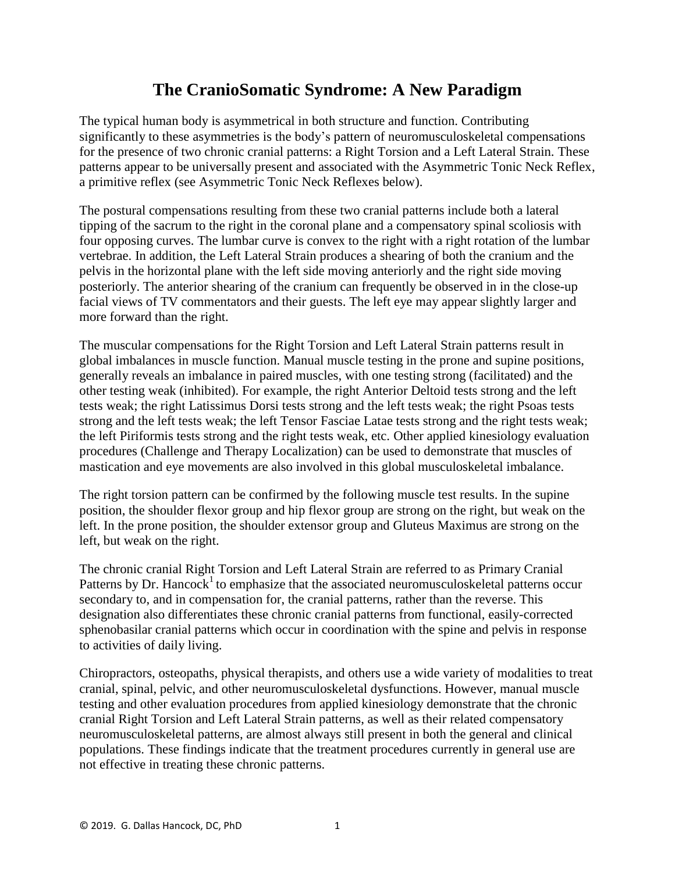## **The CranioSomatic Syndrome: A New Paradigm**

The typical human body is asymmetrical in both structure and function. Contributing significantly to these asymmetries is the body's pattern of neuromusculoskeletal compensations for the presence of two chronic cranial patterns: a Right Torsion and a Left Lateral Strain. These patterns appear to be universally present and associated with the Asymmetric Tonic Neck Reflex, a primitive reflex (see Asymmetric Tonic Neck Reflexes below).

The postural compensations resulting from these two cranial patterns include both a lateral tipping of the sacrum to the right in the coronal plane and a compensatory spinal scoliosis with four opposing curves. The lumbar curve is convex to the right with a right rotation of the lumbar vertebrae. In addition, the Left Lateral Strain produces a shearing of both the cranium and the pelvis in the horizontal plane with the left side moving anteriorly and the right side moving posteriorly. The anterior shearing of the cranium can frequently be observed in in the close-up facial views of TV commentators and their guests. The left eye may appear slightly larger and more forward than the right.

The muscular compensations for the Right Torsion and Left Lateral Strain patterns result in global imbalances in muscle function. Manual muscle testing in the prone and supine positions, generally reveals an imbalance in paired muscles, with one testing strong (facilitated) and the other testing weak (inhibited). For example, the right Anterior Deltoid tests strong and the left tests weak; the right Latissimus Dorsi tests strong and the left tests weak; the right Psoas tests strong and the left tests weak; the left Tensor Fasciae Latae tests strong and the right tests weak; the left Piriformis tests strong and the right tests weak, etc. Other applied kinesiology evaluation procedures (Challenge and Therapy Localization) can be used to demonstrate that muscles of mastication and eye movements are also involved in this global musculoskeletal imbalance.

The right torsion pattern can be confirmed by the following muscle test results. In the supine position, the shoulder flexor group and hip flexor group are strong on the right, but weak on the left. In the prone position, the shoulder extensor group and Gluteus Maximus are strong on the left, but weak on the right.

The chronic cranial Right Torsion and Left Lateral Strain are referred to as Primary Cranial Patterns by Dr. Hancock<sup>1</sup> to emphasize that the associated neuromusculoskeletal patterns occur secondary to, and in compensation for, the cranial patterns, rather than the reverse. This designation also differentiates these chronic cranial patterns from functional, easily-corrected sphenobasilar cranial patterns which occur in coordination with the spine and pelvis in response to activities of daily living.

Chiropractors, osteopaths, physical therapists, and others use a wide variety of modalities to treat cranial, spinal, pelvic, and other neuromusculoskeletal dysfunctions. However, manual muscle testing and other evaluation procedures from applied kinesiology demonstrate that the chronic cranial Right Torsion and Left Lateral Strain patterns, as well as their related compensatory neuromusculoskeletal patterns, are almost always still present in both the general and clinical populations. These findings indicate that the treatment procedures currently in general use are not effective in treating these chronic patterns.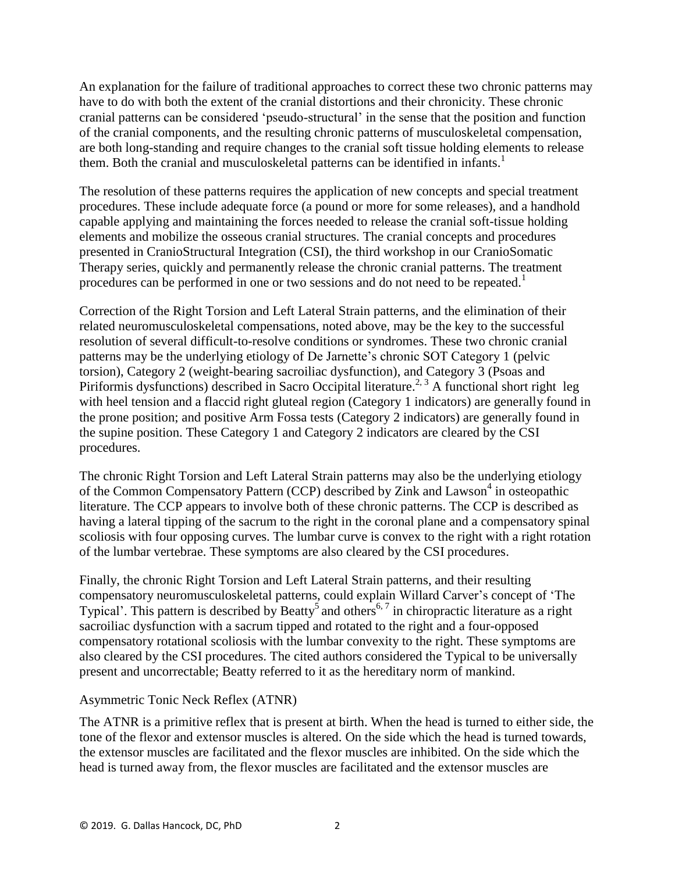An explanation for the failure of traditional approaches to correct these two chronic patterns may have to do with both the extent of the cranial distortions and their chronicity. These chronic cranial patterns can be considered 'pseudo-structural' in the sense that the position and function of the cranial components, and the resulting chronic patterns of musculoskeletal compensation, are both long-standing and require changes to the cranial soft tissue holding elements to release them. Both the cranial and musculoskeletal patterns can be identified in infants. 1

The resolution of these patterns requires the application of new concepts and special treatment procedures. These include adequate force (a pound or more for some releases), and a handhold capable applying and maintaining the forces needed to release the cranial soft-tissue holding elements and mobilize the osseous cranial structures. The cranial concepts and procedures presented in CranioStructural Integration (CSI), the third workshop in our CranioSomatic Therapy series, quickly and permanently release the chronic cranial patterns. The treatment procedures can be performed in one or two sessions and do not need to be repeated.<sup>1</sup>

Correction of the Right Torsion and Left Lateral Strain patterns, and the elimination of their related neuromusculoskeletal compensations, noted above, may be the key to the successful resolution of several difficult-to-resolve conditions or syndromes. These two chronic cranial patterns may be the underlying etiology of De Jarnette's chronic SOT Category 1 (pelvic torsion), Category 2 (weight-bearing sacroiliac dysfunction), and Category 3 (Psoas and Piriformis dysfunctions) described in Sacro Occipital literature.<sup>2, 3</sup> A functional short right leg with heel tension and a flaccid right gluteal region (Category 1 indicators) are generally found in the prone position; and positive Arm Fossa tests (Category 2 indicators) are generally found in the supine position. These Category 1 and Category 2 indicators are cleared by the CSI procedures.

The chronic Right Torsion and Left Lateral Strain patterns may also be the underlying etiology of the Common Compensatory Pattern (CCP) described by Zink and Lawson<sup>4</sup> in osteopathic literature. The CCP appears to involve both of these chronic patterns. The CCP is described as having a lateral tipping of the sacrum to the right in the coronal plane and a compensatory spinal scoliosis with four opposing curves. The lumbar curve is convex to the right with a right rotation of the lumbar vertebrae. These symptoms are also cleared by the CSI procedures.

Finally, the chronic Right Torsion and Left Lateral Strain patterns, and their resulting compensatory neuromusculoskeletal patterns, could explain Willard Carver's concept of 'The Typical'. This pattern is described by Beatty<sup>5</sup> and others<sup>6,7</sup> in chiropractic literature as a right sacroiliac dysfunction with a sacrum tipped and rotated to the right and a four-opposed compensatory rotational scoliosis with the lumbar convexity to the right. These symptoms are also cleared by the CSI procedures. The cited authors considered the Typical to be universally present and uncorrectable; Beatty referred to it as the hereditary norm of mankind.

## Asymmetric Tonic Neck Reflex (ATNR)

The ATNR is a primitive reflex that is present at birth. When the head is turned to either side, the tone of the flexor and extensor muscles is altered. On the side which the head is turned towards, the extensor muscles are facilitated and the flexor muscles are inhibited. On the side which the head is turned away from, the flexor muscles are facilitated and the extensor muscles are